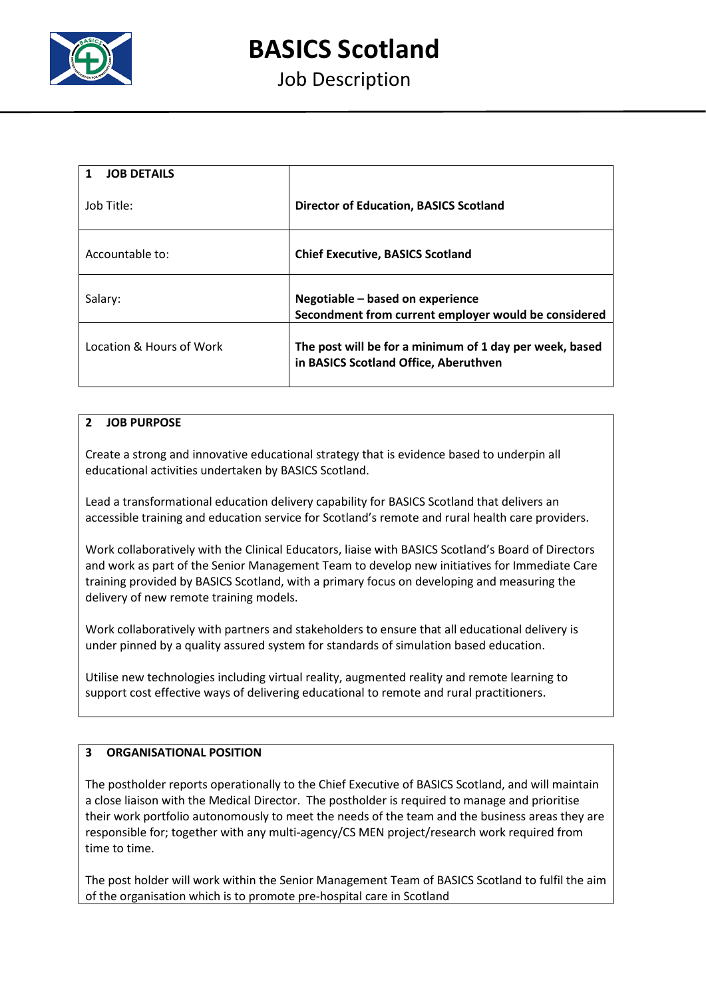

**BASICS Scotland**

# Job Description

| <b>JOB DETAILS</b>       |                                                                                                  |
|--------------------------|--------------------------------------------------------------------------------------------------|
| Job Title:               | <b>Director of Education, BASICS Scotland</b>                                                    |
| Accountable to:          | <b>Chief Executive, BASICS Scotland</b>                                                          |
| Salary:                  | Negotiable - based on experience<br>Secondment from current employer would be considered         |
| Location & Hours of Work | The post will be for a minimum of 1 day per week, based<br>in BASICS Scotland Office, Aberuthven |

# **2 JOB PURPOSE**

Create a strong and innovative educational strategy that is evidence based to underpin all educational activities undertaken by BASICS Scotland.

Lead a transformational education delivery capability for BASICS Scotland that delivers an accessible training and education service for Scotland's remote and rural health care providers.

Work collaboratively with the Clinical Educators, liaise with BASICS Scotland's Board of Directors and work as part of the Senior Management Team to develop new initiatives for Immediate Care training provided by BASICS Scotland, with a primary focus on developing and measuring the delivery of new remote training models.

Work collaboratively with partners and stakeholders to ensure that all educational delivery is under pinned by a quality assured system for standards of simulation based education.

Utilise new technologies including virtual reality, augmented reality and remote learning to support cost effective ways of delivering educational to remote and rural practitioners.

### **3 ORGANISATIONAL POSITION**

The postholder reports operationally to the Chief Executive of BASICS Scotland, and will maintain a close liaison with the Medical Director. The postholder is required to manage and prioritise their work portfolio autonomously to meet the needs of the team and the business areas they are responsible for; together with any multi-agency/CS MEN project/research work required from time to time.

The post holder will work within the Senior Management Team of BASICS Scotland to fulfil the aim of the organisation which is to promote pre-hospital care in Scotland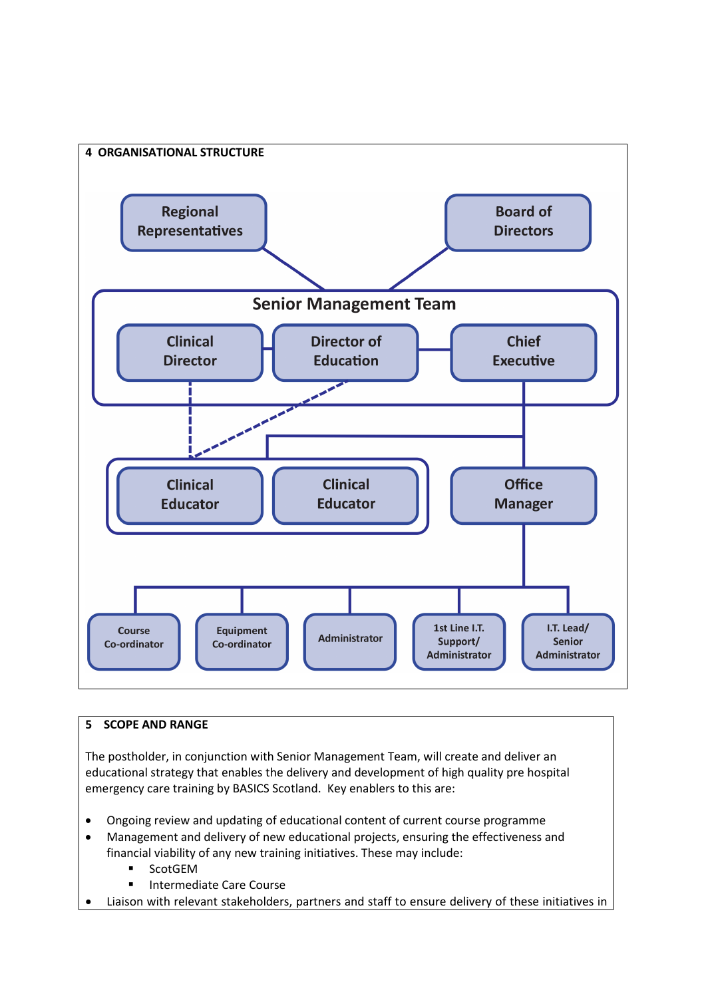

# **5 SCOPE AND RANGE**

The postholder, in conjunction with Senior Management Team, will create and deliver an educational strategy that enables the delivery and development of high quality pre hospital emergency care training by BASICS Scotland. Key enablers to this are:

- Ongoing review and updating of educational content of current course programme
- Management and delivery of new educational projects, ensuring the effectiveness and financial viability of any new training initiatives. These may include:
	- **ScotGEM**
	- Intermediate Care Course
- Liaison with relevant stakeholders, partners and staff to ensure delivery of these initiatives in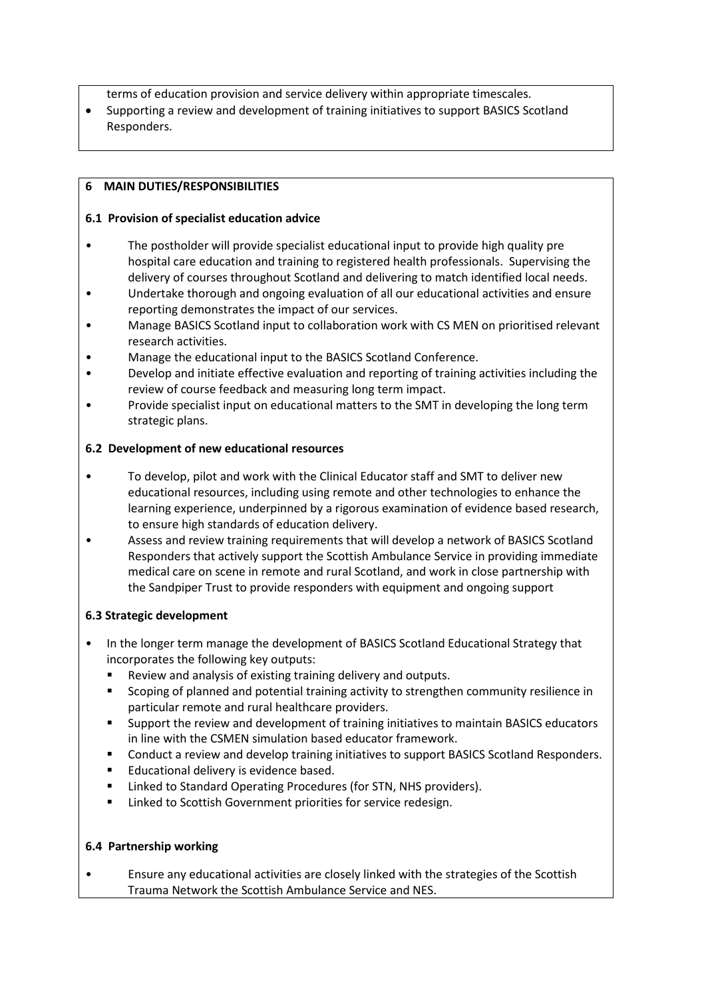terms of education provision and service delivery within appropriate timescales.

• Supporting a review and development of training initiatives to support BASICS Scotland Responders.

#### **6 MAIN DUTIES/RESPONSIBILITIES**

## **6.1 Provision of specialist education advice**

- The postholder will provide specialist educational input to provide high quality pre hospital care education and training to registered health professionals. Supervising the delivery of courses throughout Scotland and delivering to match identified local needs.
- Undertake thorough and ongoing evaluation of all our educational activities and ensure reporting demonstrates the impact of our services.
- Manage BASICS Scotland input to collaboration work with CS MEN on prioritised relevant research activities.
- Manage the educational input to the BASICS Scotland Conference.
- Develop and initiate effective evaluation and reporting of training activities including the review of course feedback and measuring long term impact.
- Provide specialist input on educational matters to the SMT in developing the long term strategic plans.

#### **6.2 Development of new educational resources**

- To develop, pilot and work with the Clinical Educator staff and SMT to deliver new educational resources, including using remote and other technologies to enhance the learning experience, underpinned by a rigorous examination of evidence based research, to ensure high standards of education delivery.
- Assess and review training requirements that will develop a network of BASICS Scotland Responders that actively support the Scottish Ambulance Service in providing immediate medical care on scene in remote and rural Scotland, and work in close partnership with the Sandpiper Trust to provide responders with equipment and ongoing support

# **6.3 Strategic development**

- In the longer term manage the development of BASICS Scotland Educational Strategy that incorporates the following key outputs:
	- Review and analysis of existing training delivery and outputs.
	- Scoping of planned and potential training activity to strengthen community resilience in particular remote and rural healthcare providers.
	- Support the review and development of training initiatives to maintain BASICS educators in line with the CSMEN simulation based educator framework.
	- Conduct a review and develop training initiatives to support BASICS Scotland Responders.
	- **Educational delivery is evidence based.**
	- **E** Linked to Standard Operating Procedures (for STN, NHS providers).
	- **EXECT** Linked to Scottish Government priorities for service redesign.

#### **6.4 Partnership working**

• Ensure any educational activities are closely linked with the strategies of the Scottish Trauma Network the Scottish Ambulance Service and NES.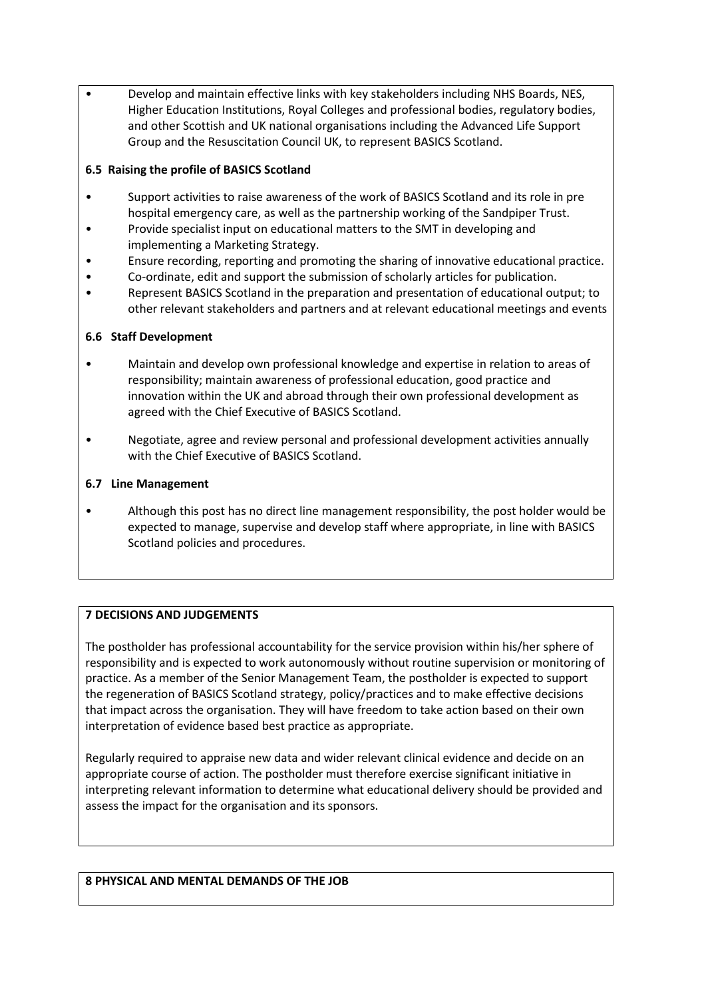• Develop and maintain effective links with key stakeholders including NHS Boards, NES, Higher Education Institutions, Royal Colleges and professional bodies, regulatory bodies, and other Scottish and UK national organisations including the Advanced Life Support Group and the Resuscitation Council UK, to represent BASICS Scotland.

# **6.5 Raising the profile of BASICS Scotland**

- Support activities to raise awareness of the work of BASICS Scotland and its role in pre hospital emergency care, as well as the partnership working of the Sandpiper Trust.
- Provide specialist input on educational matters to the SMT in developing and implementing a Marketing Strategy.
- Ensure recording, reporting and promoting the sharing of innovative educational practice.
- Co-ordinate, edit and support the submission of scholarly articles for publication.
- Represent BASICS Scotland in the preparation and presentation of educational output; to other relevant stakeholders and partners and at relevant educational meetings and events

# **6.6 Staff Development**

- Maintain and develop own professional knowledge and expertise in relation to areas of responsibility; maintain awareness of professional education, good practice and innovation within the UK and abroad through their own professional development as agreed with the Chief Executive of BASICS Scotland.
- Negotiate, agree and review personal and professional development activities annually with the Chief Executive of BASICS Scotland.

# **6.7 Line Management**

• Although this post has no direct line management responsibility, the post holder would be expected to manage, supervise and develop staff where appropriate, in line with BASICS Scotland policies and procedures.

# **7 DECISIONS AND JUDGEMENTS**

The postholder has professional accountability for the service provision within his/her sphere of responsibility and is expected to work autonomously without routine supervision or monitoring of practice. As a member of the Senior Management Team, the postholder is expected to support the regeneration of BASICS Scotland strategy, policy/practices and to make effective decisions that impact across the organisation. They will have freedom to take action based on their own interpretation of evidence based best practice as appropriate.

Regularly required to appraise new data and wider relevant clinical evidence and decide on an appropriate course of action. The postholder must therefore exercise significant initiative in interpreting relevant information to determine what educational delivery should be provided and assess the impact for the organisation and its sponsors.

#### **8 PHYSICAL AND MENTAL DEMANDS OF THE JOB**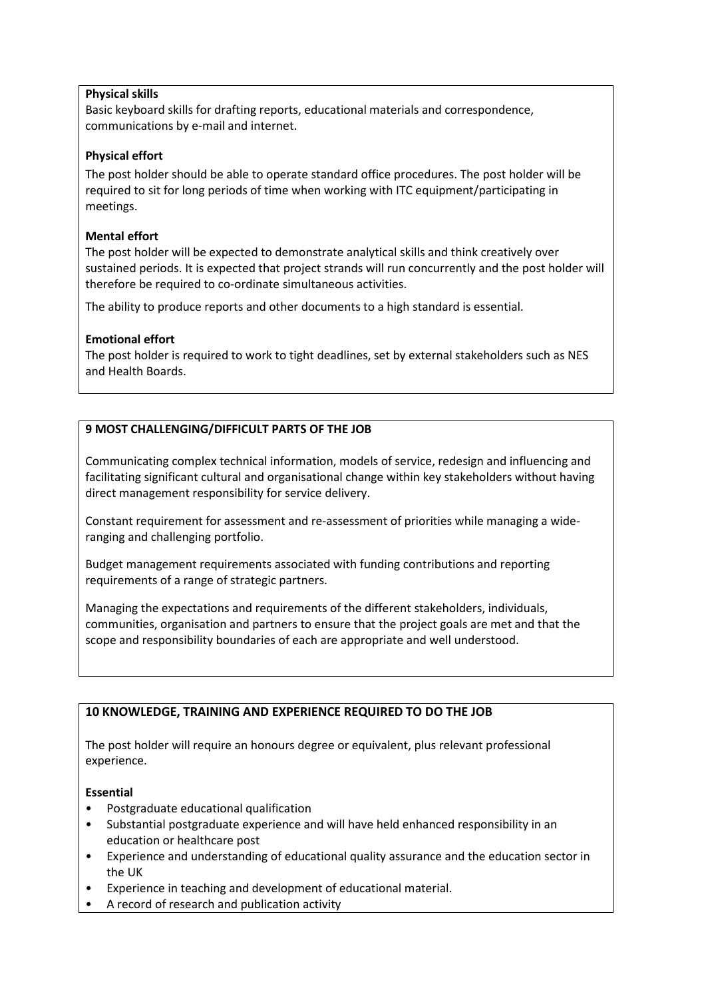## **Physical skills**

Basic keyboard skills for drafting reports, educational materials and correspondence, communications by e-mail and internet.

## **Physical effort**

The post holder should be able to operate standard office procedures. The post holder will be required to sit for long periods of time when working with ITC equipment/participating in meetings.

#### **Mental effort**

The post holder will be expected to demonstrate analytical skills and think creatively over sustained periods. It is expected that project strands will run concurrently and the post holder will therefore be required to co-ordinate simultaneous activities.

The ability to produce reports and other documents to a high standard is essential.

## **Emotional effort**

The post holder is required to work to tight deadlines, set by external stakeholders such as NES and Health Boards.

# **9 MOST CHALLENGING/DIFFICULT PARTS OF THE JOB**

Communicating complex technical information, models of service, redesign and influencing and facilitating significant cultural and organisational change within key stakeholders without having direct management responsibility for service delivery.

Constant requirement for assessment and re-assessment of priorities while managing a wideranging and challenging portfolio.

Budget management requirements associated with funding contributions and reporting requirements of a range of strategic partners.

Managing the expectations and requirements of the different stakeholders, individuals, communities, organisation and partners to ensure that the project goals are met and that the scope and responsibility boundaries of each are appropriate and well understood.

# **10 KNOWLEDGE, TRAINING AND EXPERIENCE REQUIRED TO DO THE JOB**

The post holder will require an honours degree or equivalent, plus relevant professional experience.

#### **Essential**

- Postgraduate educational qualification
- Substantial postgraduate experience and will have held enhanced responsibility in an education or healthcare post
- Experience and understanding of educational quality assurance and the education sector in the UK
- Experience in teaching and development of educational material.
- A record of research and publication activity